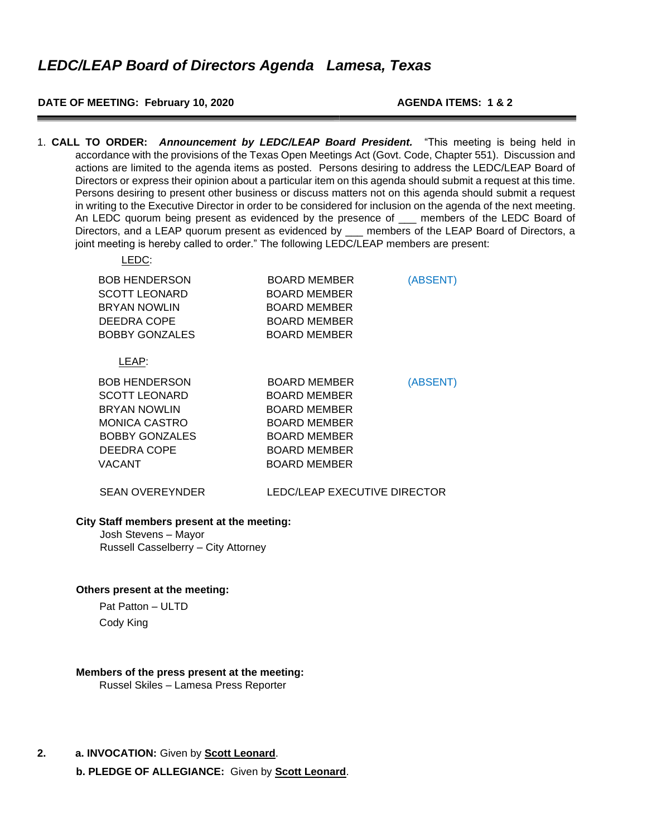## **DATE OF MEETING: February 10, 2020 AGENDA ITEMS: 1 & 2**

LEDC:

1. **CALL TO ORDER:** *Announcement by LEDC/LEAP Board President.* "This meeting is being held in accordance with the provisions of the Texas Open Meetings Act (Govt. Code, Chapter 551). Discussion and actions are limited to the agenda items as posted. Persons desiring to address the LEDC/LEAP Board of Directors or express their opinion about a particular item on this agenda should submit a request at this time. Persons desiring to present other business or discuss matters not on this agenda should submit a request in writing to the Executive Director in order to be considered for inclusion on the agenda of the next meeting. An LEDC quorum being present as evidenced by the presence of \_\_\_ members of the LEDC Board of Directors, and a LEAP quorum present as evidenced by members of the LEAP Board of Directors, a joint meeting is hereby called to order." The following LEDC/LEAP members are present:

| ---                                                                                                                                           |                                                                                                                                          |          |
|-----------------------------------------------------------------------------------------------------------------------------------------------|------------------------------------------------------------------------------------------------------------------------------------------|----------|
| <b>BOB HENDERSON</b><br><b>SCOTT LEONARD</b><br><b>BRYAN NOWLIN</b><br>DEEDRA COPE<br><b>BOBBY GONZALES</b>                                   | BOARD MEMBER<br>BOARD MEMBER<br>BOARD MEMBER<br><b>BOARD MEMBER</b><br>BOARD MEMBER                                                      | (ABSENT) |
| LEAP:                                                                                                                                         |                                                                                                                                          |          |
| <b>BOB HENDERSON</b><br>SCOTT LEONARD<br><b>BRYAN NOWLIN</b><br><b>MONICA CASTRO</b><br><b>BOBBY GONZALES</b><br><b>DEEDRA COPE</b><br>VACANT | BOARD MEMBER<br><b>BOARD MEMBER</b><br><b>BOARD MEMBER</b><br>BOARD MEMBER<br><b>BOARD MEMBER</b><br><b>BOARD MEMBER</b><br>BOARD MEMBER | (ABSENT) |
|                                                                                                                                               |                                                                                                                                          |          |

# SEAN OVEREYNDER LEDC/LEAP EXECUTIVE DIRECTOR

## **City Staff members present at the meeting:**

Josh Stevens – Mayor Russell Casselberry – City Attorney

#### **Others present at the meeting:**

 Pat Patton – ULTD Cody King

# **Members of the press present at the meeting:**

Russel Skiles – Lamesa Press Reporter

**2. a. INVOCATION:** Given by **Scott Leonard**.

**b. PLEDGE OF ALLEGIANCE:** Given by **Scott Leonard**.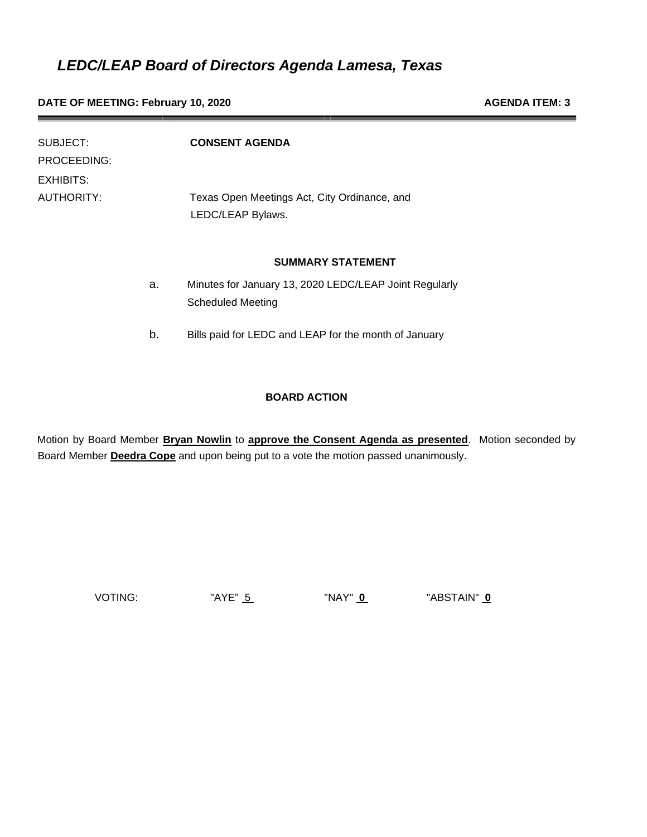**DATE OF MEETING: February 10, 2020 AGENDA ITEM: 3 AGENDA ITEM: 3** 

| SUBJECT:<br>PROCEEDING: |    | <b>CONSENT AGENDA</b>                                                              |
|-------------------------|----|------------------------------------------------------------------------------------|
| EXHIBITS:<br>AUTHORITY: |    | Texas Open Meetings Act, City Ordinance, and<br>LEDC/LEAP Bylaws.                  |
|                         |    | <b>SUMMARY STATEMENT</b>                                                           |
|                         | a. | Minutes for January 13, 2020 LEDC/LEAP Joint Regularly<br><b>Scheduled Meeting</b> |
|                         | b. | Bills paid for LEDC and LEAP for the month of January                              |

## **BOARD ACTION**

Motion by Board Member **Bryan Nowlin** to **approve the Consent Agenda as presented**. Motion seconded by Board Member **Deedra Cope** and upon being put to a vote the motion passed unanimously.

VOTING: "AYE" 5 "NAY" **0** "ABSTAIN" **0**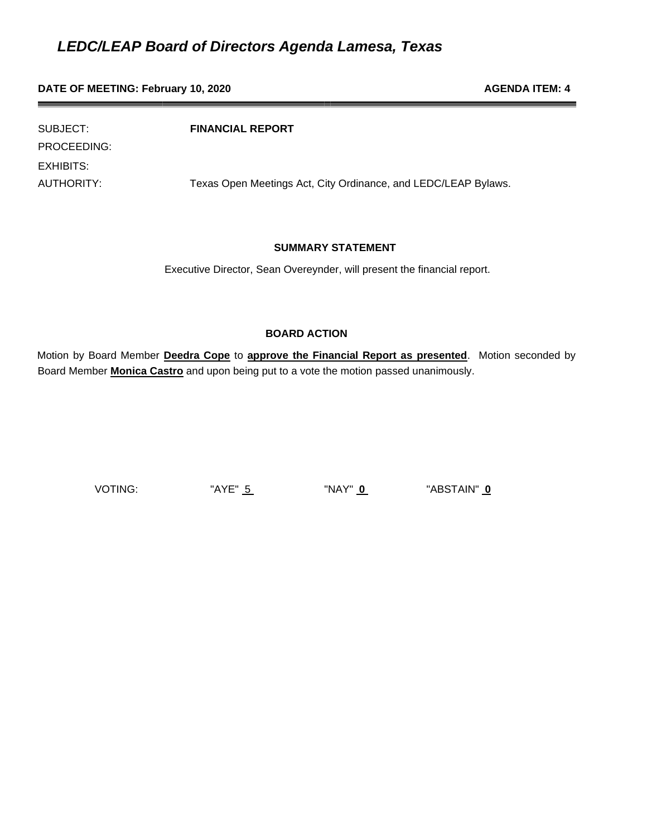## **DATE OF MEETING: February 10, 2020 AGENDA ITEM: 4 AGENDA ITEM: 4**

SUBJECT: **FINANCIAL REPORT** PROCEEDING: EXHIBITS: AUTHORITY: Texas Open Meetings Act, City Ordinance, and LEDC/LEAP Bylaws.

## **SUMMARY STATEMENT**

Executive Director, Sean Overeynder, will present the financial report.

## **BOARD ACTION**

Motion by Board Member **Deedra Cope** to **approve the Financial Report as presented**. Motion seconded by Board Member **Monica Castro** and upon being put to a vote the motion passed unanimously.

VOTING: "AYE" 5 "NAY" **0** "ABSTAIN" **0**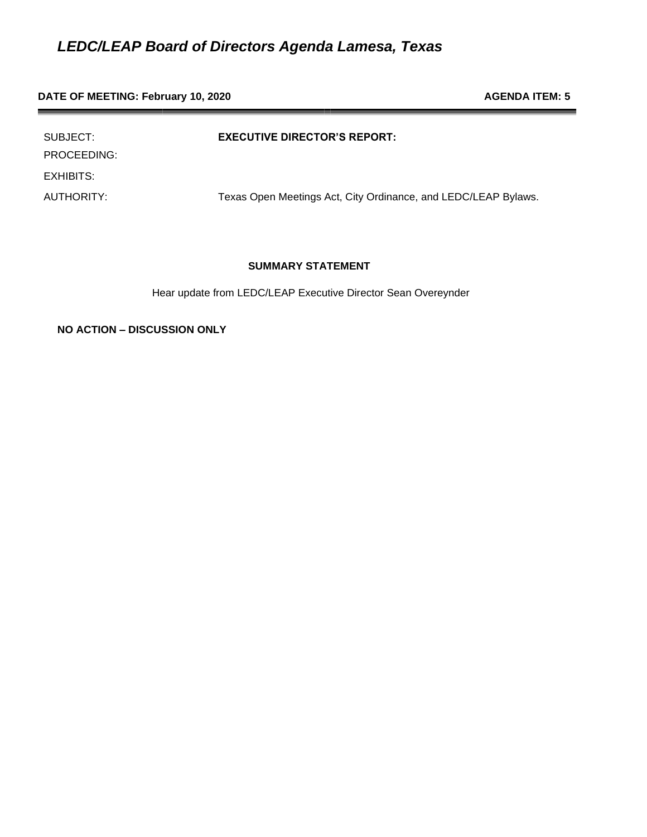# **DATE OF MEETING: February 10, 2020 AGENDA ITEM: 5 AGENDA ITEM: 5**

| SUBJECT:<br>PROCEEDING: | <b>EXECUTIVE DIRECTOR'S REPORT:</b>                            |
|-------------------------|----------------------------------------------------------------|
| EXHIBITS:               |                                                                |
| AUTHORITY:              | Texas Open Meetings Act, City Ordinance, and LEDC/LEAP Bylaws. |

## **SUMMARY STATEMENT**

Hear update from LEDC/LEAP Executive Director Sean Overeynder

**NO ACTION – DISCUSSION ONLY**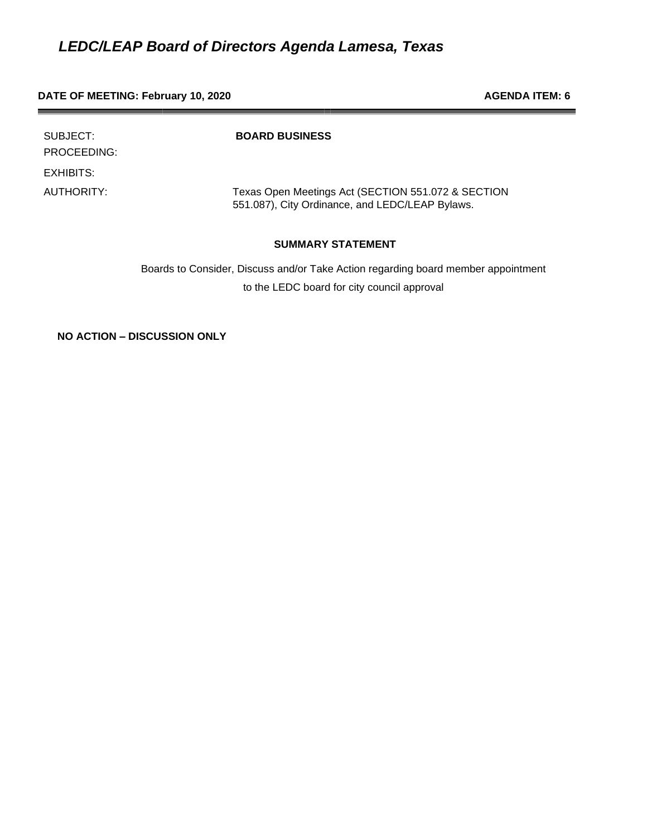#### **DATE OF MEETING: February 10, 2020 AGENDA ITEM: 6 AGENDA ITEM: 6**

| SUBJECT:<br>PROCEEDING: | <b>BOARD BUSINESS</b>                                                                                 |
|-------------------------|-------------------------------------------------------------------------------------------------------|
| EXHIBITS:               |                                                                                                       |
| AUTHORITY:              | Texas Open Meetings Act (SECTION 551.072 & SECTION<br>551.087), City Ordinance, and LEDC/LEAP Bylaws. |

# **SUMMARY STATEMENT**

Boards to Consider, Discuss and/or Take Action regarding board member appointment to the LEDC board for city council approval

**NO ACTION – DISCUSSION ONLY**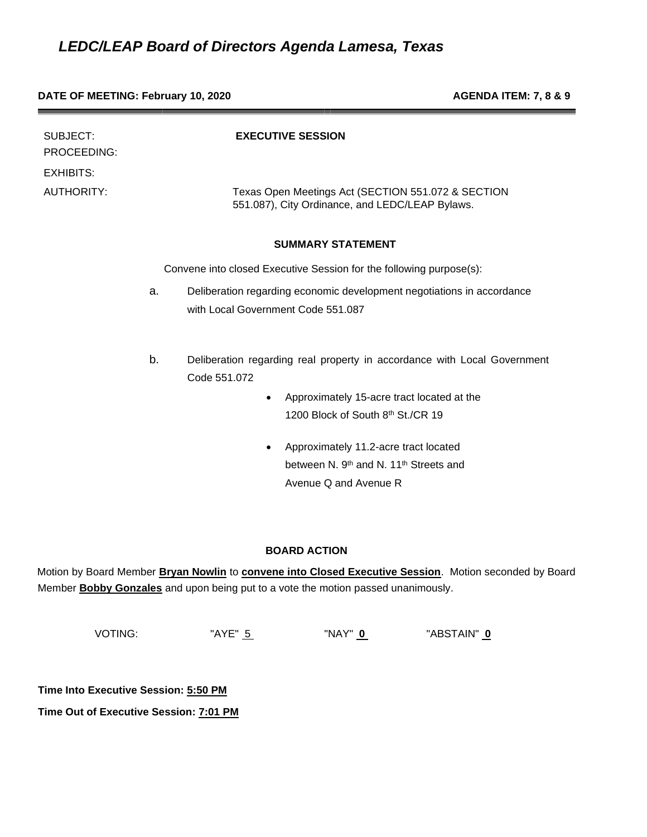#### **DATE OF MEETING: February 10, 2020 AGENDA ITEM: 7, 8 & 9**

| SUBJECT:<br>PROCEEDING:                                             | <b>EXECUTIVE SESSION</b>                                                                                           |  |  |
|---------------------------------------------------------------------|--------------------------------------------------------------------------------------------------------------------|--|--|
| <b>EXHIBITS:</b><br><b>AUTHORITY:</b>                               | Texas Open Meetings Act (SECTION 551.072 & SECTION<br>551.087), City Ordinance, and LEDC/LEAP Bylaws.              |  |  |
|                                                                     | <b>SUMMARY STATEMENT</b>                                                                                           |  |  |
| Convene into closed Executive Session for the following purpose(s): |                                                                                                                    |  |  |
|                                                                     | Deliberation regarding economic development negotiations in accordance<br>a.<br>with Local Government Code 551.087 |  |  |
|                                                                     | b.<br>Deliberation regarding real property in accordance with Local Government<br>Code 551.072                     |  |  |
|                                                                     | Approximately 15-acre tract located at the<br>$\bullet$                                                            |  |  |
|                                                                     | 1200 Block of South 8th St./CR 19                                                                                  |  |  |
|                                                                     | Approximately 11.2-acre tract located                                                                              |  |  |
|                                                                     | between N. 9 <sup>th</sup> and N. 11 <sup>th</sup> Streets and                                                     |  |  |
|                                                                     | Avenue Q and Avenue R                                                                                              |  |  |
|                                                                     |                                                                                                                    |  |  |
|                                                                     |                                                                                                                    |  |  |

## **BOARD ACTION**

Motion by Board Member **Bryan Nowlin** to **convene into Closed Executive Session**. Motion seconded by Board Member **Bobby Gonzales** and upon being put to a vote the motion passed unanimously.

| VOTING: | "AYE" 5 | "NAY" 0 | "ABSTAIN" 0 |
|---------|---------|---------|-------------|
|         |         |         |             |

**Time Into Executive Session: 5:50 PM**

**Time Out of Executive Session: 7:01 PM**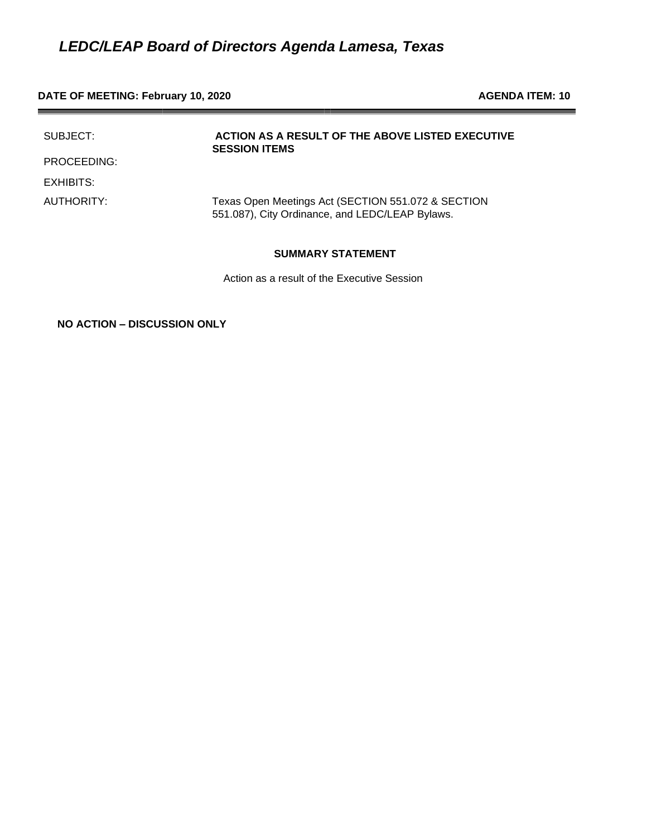# **DATE OF MEETING: February 10, 2020 AGENDA ITEM: 10**

| SUBJECT:    | ACTION AS A RESULT OF THE ABOVE LISTED EXECUTIVE<br><b>SESSION ITEMS</b>                              |
|-------------|-------------------------------------------------------------------------------------------------------|
| PROCEEDING: |                                                                                                       |
| EXHIBITS:   |                                                                                                       |
| AUTHORITY:  | Texas Open Meetings Act (SECTION 551.072 & SECTION<br>551.087), City Ordinance, and LEDC/LEAP Bylaws. |

#### **SUMMARY STATEMENT**

Action as a result of the Executive Session

**NO ACTION – DISCUSSION ONLY**